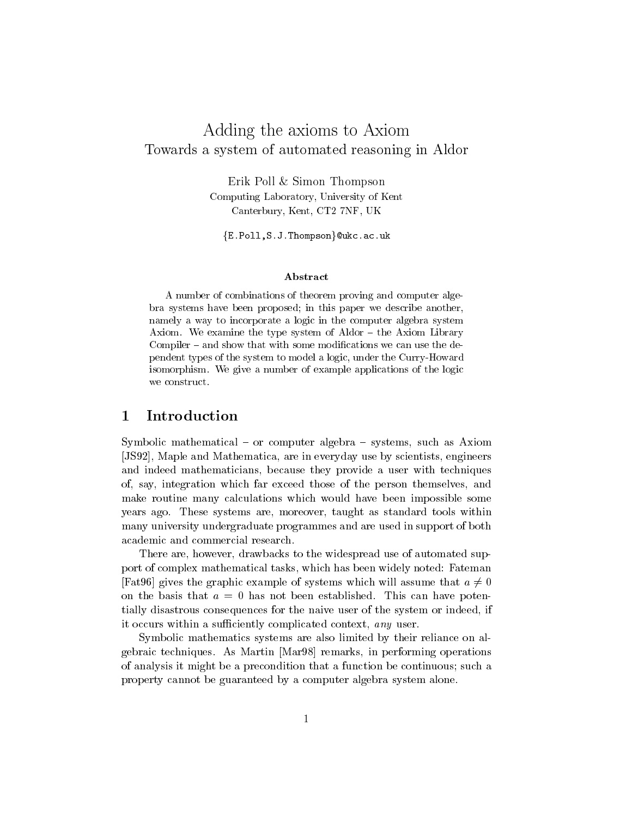# Adding the axioms to Axiom Towards a system of automated reasoning in Aldor

Erik Poll & Simon Thompson Computing Laboratory, University of Kent Canterbury Kent Canterbury Kent Canterbury Kent Canterbury Kent Canterbury Kent Canterbury Kent Canterbury Ken

 $\{{\tt E.Poll,S.J.Thompson}\}$ @ukc.ac.uk

### Abstract

A number of combinations of theorem proving and computer alge bra systems have been proposed; in this paper we describe another, namely a way to incorporate a logic in the computer algebra system Axiom. We examine the type system of  $Aldor - the Axiom Library$ Compiler  $-$  and show that with some modifications we can use the dependent types of the system to model a logic, under the Curry-Howard isomorphism. We give a number of example applications of the logic

#### Introduction 1

Symbolic mathematical  $-$  or computer algebra  $-$  systems, such as Axiom -JS Maple and Mathematica are in everyday use by scientists engineers and indeed mathematicians, because they provide a user with techniques of say integration which far exceed those of the person themselves and make routine many calculations which would have been impossible some years ago. These systems are, moreover, taught as standard tools within many university undergraduate programmes and are used in support of both academic and commercial research

There are, however, drawbacks to the widespread use of automated support of complex mathematical tasks, which has been widely noted: Fateman Fat96 gives the graphic example of systems which will assume that  $a \neq 0$ on the basis that <sup>a</sup> hasnot been established This can have poten tially disastrous consequences for the naive user of the system or indeed if it occurs within a sufficiently complicated context, any user.

Symbolic mathematics systems are also limited by their reliance on al  $\alpha$  - remarks as Martin - and Martin -  $\alpha$  , and  $\alpha$  are  $\alpha$  -  $\alpha$  -  $\alpha$  -  $\alpha$  -  $\alpha$  -  $\alpha$  -  $\alpha$  -  $\alpha$  -  $\alpha$  -  $\alpha$  -  $\alpha$  -  $\alpha$  -  $\alpha$  -  $\alpha$  -  $\alpha$  -  $\alpha$  -  $\alpha$  -  $\alpha$  -  $\alpha$  -  $\alpha$  -  $\alpha$  -  $\alpha$  -  $\alpha$  of analysis it might be a precondition that a function be continuous such a property cannot be guaranteed by a computer algebra system alone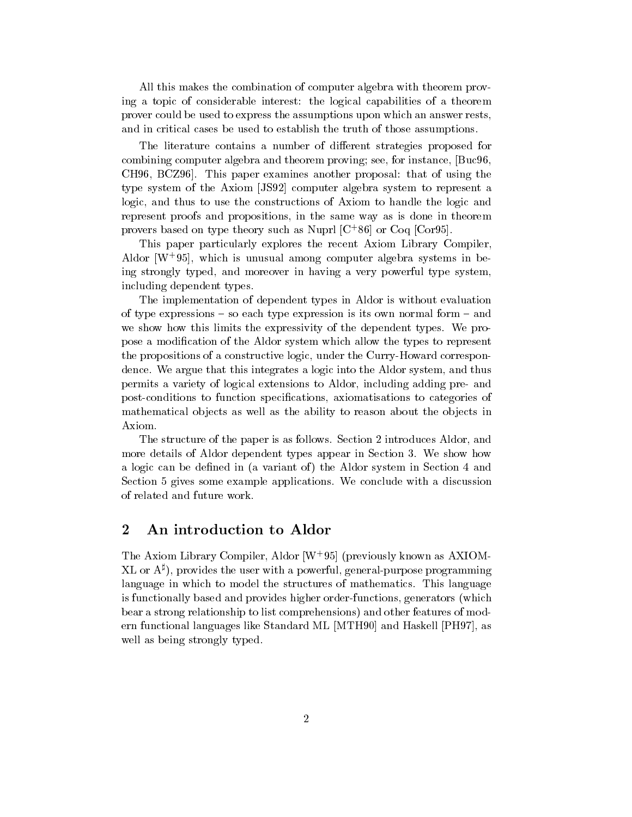All this makes the combination of computer algebra with theorem prov ing a topic of considerable interest: the logical capabilities of a theorem prover could be used to express the assumptions upon which an answer rests and in critical cases be used to establish the truth of those assumptions

The literature contains a number of different strategies proposed for combined computer algebra and theorem proving see for instance  $\rho$  $CH96, BCZ96$ . This paper examines another proposal: that of using the type system of the Axiom -JS computer algebra system to represent a logic, and thus to use the constructions of Axiom to handle the logic and represent proofs and propositions in the same way as is done in theorem provers based on type theory such as Nupri  $|C|$  80 or Coq  $|C$ ory5).

This paper particularly explores the recent Axiom Library Compiler Aldor TW 95), which is unusual among computer algebra systems in being strongly typed, and moreover in having a very powerful type system, including dependent types

The implementation of dependent types in Aldor is without evaluation of type expressions  $-$  so each type expression is its own normal form  $-$  and we show how this limits the expressivity of the dependent types. We propose a modification of the Aldor system which allow the types to represent the propositions of a constructive logic, under the Curry-Howard correspondence. We argue that this integrates a logic into the Aldor system, and thus permits a variety of logical extensions to Aldor, including adding pre- and post-conditions to function specifications, axiomatisations to categories of mathematical objects as well as the ability to reason about the objects in Axiom

The structure of the paper is as follows. Section 2 introduces Aldor, and more details of Aldor dependent types appear in Section 3. We show how a logic can be defined in (a variant of) the Aldor system in Section 4 and Section 5 gives some example applications. We conclude with a discussion of related and future work.

## An introduction to Aldor

The Axiom Library Compiler, Aldor | W | 95| (previously known as AAIOM- $XL$  or  $A^{\sharp}$ ), provides the user with a powerful, general-purpose programming language in which to model the structures of mathematics. This language is functionally based and provides higher order-functions, generators (which bear a strong relationship to list comprehensions) and other features of modern functional languages like Standard ML - standard ML - standard ML - standard ML - standard ML - standard M well as being strongly typed.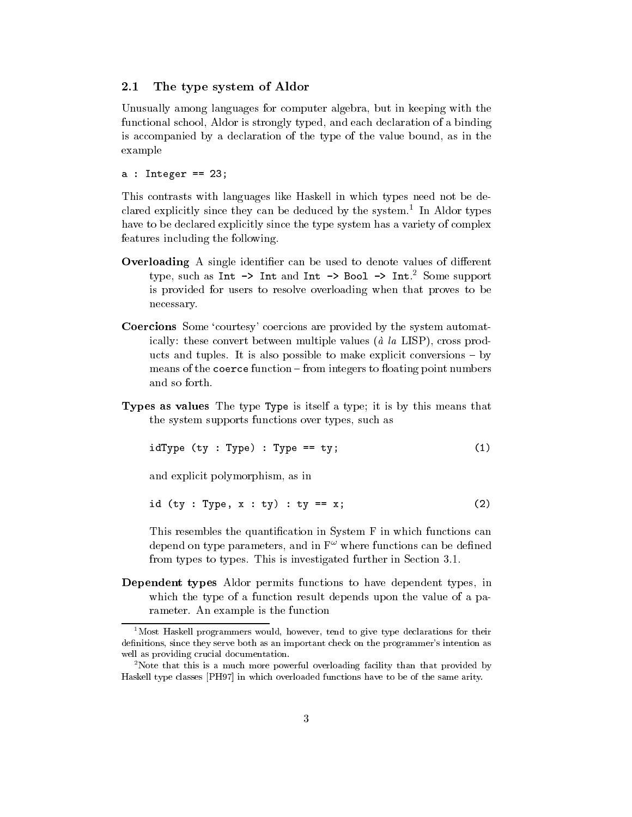#### $2.1$ The type system of Aldor

Unusually among languages for computer algebra, but in keeping with the functional school, Aldor is strongly typed, and each declaration of a binding is accompanied by a declaration of the type of the value bound, as in the example

a integrate  $\mathbf{A}$  is a set of  $\mathbf{A}$  is a set of  $\mathbf{A}$ 

This contrasts with languages like Haskell in which types need not be de clared explicitly since they can be deduced by the system In Aldor types have to be declared explicitly since the type system has a variety of complex features including the following

- **Overloading** A single identifier can be used to denote values of different type, such as  $\text{Int} \rightarrow \text{Int}$  and  $\text{Int} \rightarrow \text{B}$ ool  $\rightarrow \text{Int}$ . Some support is provided for users to resolve overloading when that proves to be necessary
- Coercions Some 'courtesy' coercions are provided by the system automatically: these convert between multiple values ( $\dot{a}$  la LISP), cross products and tuples. It is also possible to make explicit conversions  $-$  by means of the coerce function  $-$  from integers to floating point numbers and so forth
- **Types as values** The type Type is itself a type; it is by this means that the system supports functions over types, such as

$$
idType (ty : Type) : Type == ty; \t(1)
$$

and explicit polymorphism, as in

$$
id (ty : Type, x : ty) : ty == x;
$$
 (2)

This resembles the quantification in System F in which functions can depend on type parameters, and in  $F^{\omega}$  where functions can be defined from types to types. This is investigated further in Section 3.1.

Dependent types Aldor permits functions to have dependent types, in which the type of a function result depends upon the value of a parameter. An example is the function

 $^{1}$ Most Haskell programmers would, however, tend to give type declarations for their denitions since they serve both as an important check on the programmer-s intention as well as providing crucial documentation.

<sup>&</sup>lt;sup>2</sup>Note that this is a much more powerful overloading facility than that provided by Haskell type classes [PH97] in which overloaded functions have to be of the same arity.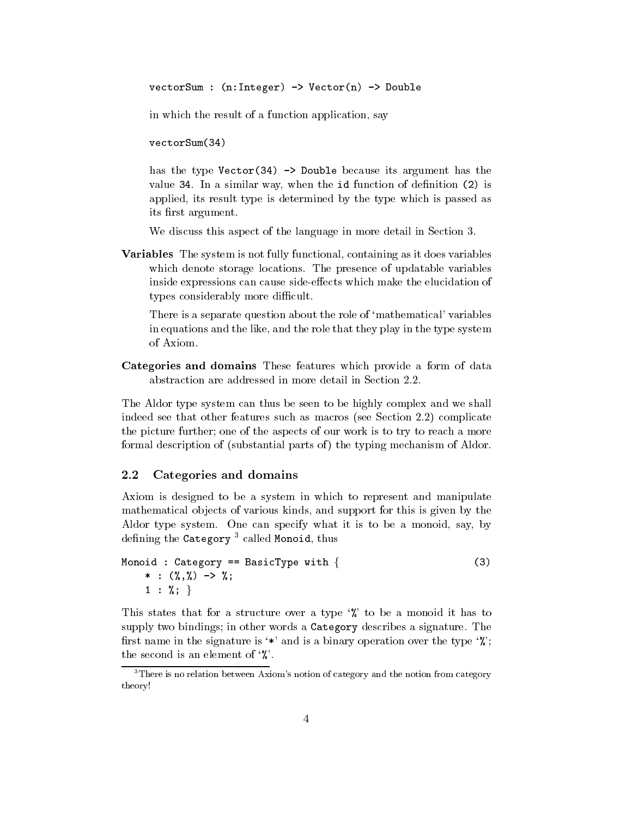vectorSum :  $(n:Integer) \rightarrow Vector(n) \rightarrow Double$ 

in which the result of a function application, say

vectorSum(34)  $\mathcal{N}$  vectors  $\mathcal{N}$  and  $\mathcal{N}$  are the sum of  $\mathcal{N}$ 

has the type  $Vector(34) \rightarrow Double because its argument has the$ value is a similar way, where the ideal  $\alpha$  function  $\langle - \rangle$  is an order of density  $\langle - \rangle$ applied, its result type is determined by the type which is passed as its first argument.

We discuss this aspect of the language in more detail in Section 3.

Variables The system is not fully functional containing as it does variables which denote storage locations. The presence of updatable variables inside expressions can cause side-effects which make the elucidation of types considerably more difficult.

There is a separate question about the role of 'mathematical' variables in equations and the like, and the role that they play in the type system of Axiom

Categories and domains These features which provide a form of data abstraction are addressed in more detail in Section

The Aldor type system can thus be seen to be highly complex and we shall indeed see that other features such as macros (see Section  $2.2$ ) complicate the picture further; one of the aspects of our work is to try to reach a more formal description of (substantial parts of) the typing mechanism of Aldor.

#### $2.2$ Categories and domains

Axiom is designed to be a system in which to represent and manipulate mathematical objects of various kinds, and support for this is given by the Aldor type system. One can specify what it is to be a monoid, say, by defining the Category<sup>3</sup> called Monoid, thus

```
Monoid : Category == BasicType with \{ (3)
    

  1 : %;
```
This states that for a structure over a type  $\mathcal{C}$  to be a monoid it has to supply two bindings; in other words a Category describes a signature. The first name in the signature is '\*' and is a binary operation over the type  $\mathcal{C}$ ; the second is an element of  $\mathcal{C}$ .

 $\lceil$  There is no relation between  $\emph{AXiom's notion}$  of category and the notion from category theory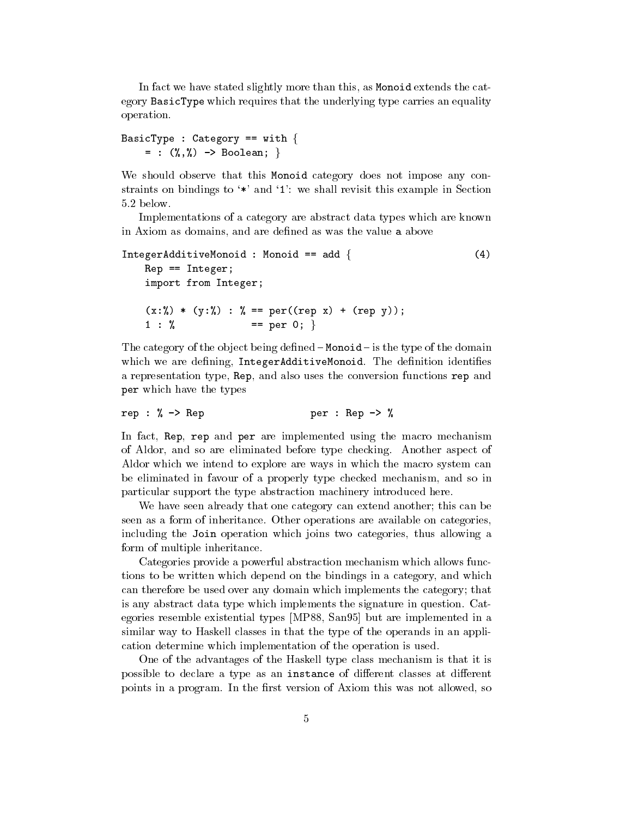In fact we have stated slightly more than this, as Monoid extends the category BasicType which requires that the underlying type carries an equality operation

```
BasicType : Category == with {
    = : (\%, \%) -> Boolean; }
```
We should observe that this Monoid category does not impose any constraints on bindings to  $\ast \ast$  and  $\ast$  : we shall revisit this example in Section 5.2 below.

Implementations of a category are abstract data types which are known in Axiom as domains, and are defined as was the value a above

```
\text{IntegerAdditiveMonoid} : Monoid == add { (4)Rep == Integer;import from Integer
   (x:\%) * (y:\%) : % == per((rep x) + (rep y));1 : \% == per 0; }
```
The category of the object being defined  $-$  Monoid  $-$  is the type of the domain which we are defining, IntegerAdditiveMonoid. The definition identifies a representation type, Rep, and also uses the conversion functions rep and per which have the types

rep :  $\%$  -> Rep  $\frac{1}{2}$  per : Rep ->  $\%$ 

In fact, Rep, rep and per are implemented using the macro mechanism of Aldor, and so are eliminated before type checking. Another aspect of Aldor which we intend to explore are ways in which the macro system can be eliminated in favour of a properly type checked mechanism, and so in particular support the type abstraction machinery introduced here

We have seen already that one category can extend another; this can be seen as a form of inheritance Other operations are available on categories including the Join operation which joins two categories thus allowing a form of multiple inheritance

Categories provide a powerful abstraction mechanism which allows func tions to be written which depend on the bindings in a category and which can therefore be used over any domain which implements the category that is any abstract data type which implements the signature in question Cat egories resemble existential types -MP San but are implemented in a similar way to Haskell classes in that the type of the operands in an appli cation determine which implementation of the operation is used

One of the advantages of the Haskell type class mechanism is that it is possible to declare a type as an instance of different classes at different points in a program. In the first version of Axiom this was not allowed, so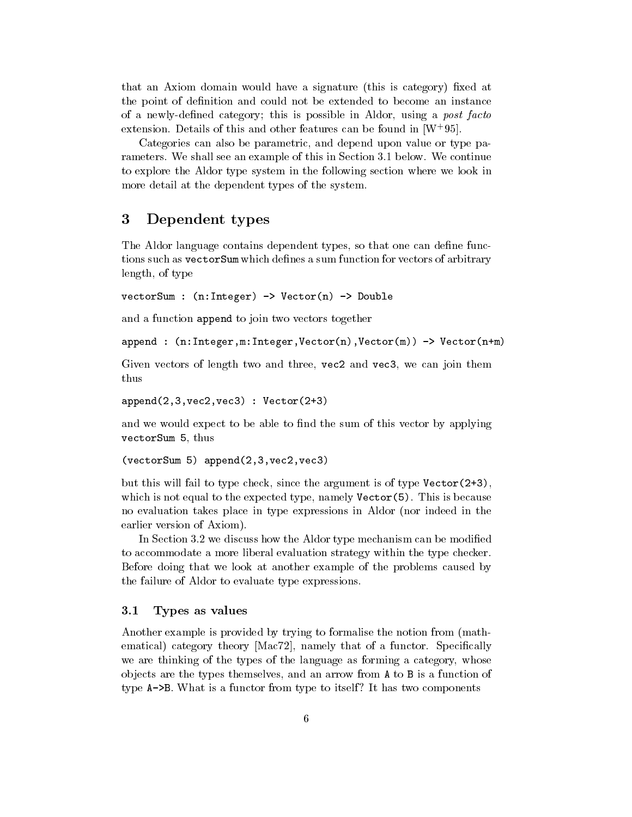that an Axiom domain would have a signature (this is category) fixed at the point of definition and could not be extended to become an instance of a newly-defined category; this is possible in Aldor, using a post facto extension. Details of this and other features can be found in  $(w_1, y_0)$ .

Categories can also be parametric, and depend upon value or type parameters. We shall see an example of this in Section 3.1 below. We continue to explore the Aldor type system in the following section where we look in more detail at the dependent types of the system

#### 3 Dependent types

The Aldor language contains dependent types, so that one can define functions such as vectorSum which defines a sum function for vectors of arbitrary length, of type

 $vectorsum : (n:Integer) \rightarrow Vector(n) \rightarrow Double$ 

and a function append to join two vectors together

append nInteger mInteger Vectorn Vectorm Vectornm

Given vectors of length two and three vectors of the vectors were presented three vectors of the can join the thus

append- vec- vec Vector-

and we would expect to be able to find the sum of this vector by applying vectorSum 5, thus

 $\sim$  vectors and vectors are all the sum of the sum of the sum of the sum of the sum of the sum of the sum of the sum of the sum of the sum of the sum of the sum of the sum of the sum of the sum of the sum of the sum of t

but this will fail to type check since the argument is of type  $\mathcal{A}$  type  $\mathcal{A}$  type  $\mathcal{A}$  type  $\mathcal{A}$  type  $\mathcal{A}$  type  $\mathcal{A}$  type  $\mathcal{A}$  type  $\mathcal{A}$  type  $\mathcal{A}$  type  $\mathcal{A}$  type  $\mathcal{A}$  type  $\mathcal$ which is not equal to the expected type, namely  $\text{Vector}(5)$ . This is because no evaluation takes place in type expressions in Aldor (nor indeed in the earlier version of Axiom).

In Section 3.2 we discuss how the Aldor type mechanism can be modified to accommodate a more liberal evaluation strategy within the type checker Before doing that we look at another example of the problems caused by the failure of Aldor to evaluate type expressions

#### Types as values  $3.1$

Another example is provided by trying to formalise the notion from (mathematical category theory powers species that the function of a function of  $\sim$ we are thinking of the types of the language as forming a category whose ob jects are the types themselves and an arrow from A to B is a function of type  $A \rightarrow B$ . What is a functor from type to itself? It has two components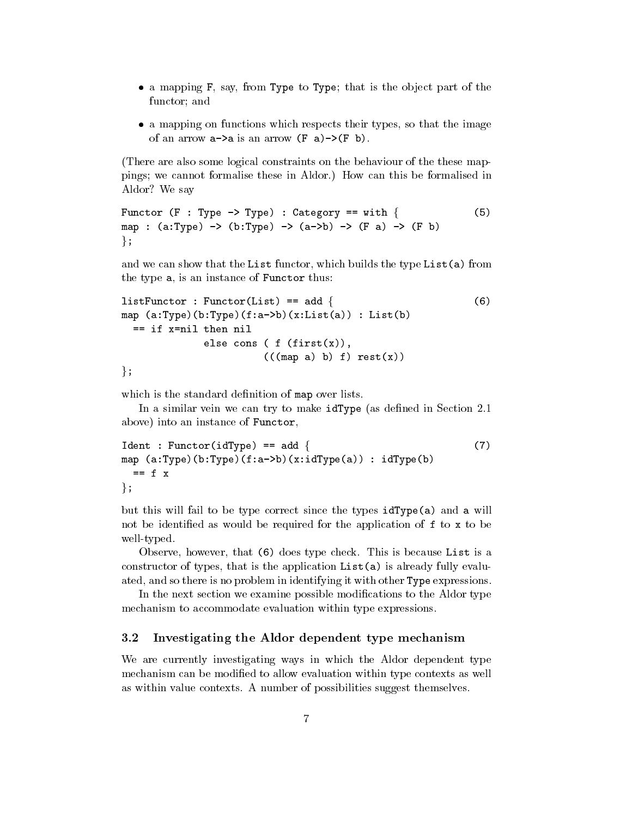- $\bullet$  a mapping  ${\tt r}$ , say, from Type to Type; that is the object part of the functor; and
- $\bullet$  a mapping on functions which respects their types, so that the image of an arrow  $a \rightarrow a$  is an arrow  $(F a) \rightarrow (F b)$ .

There are also some logical constraints on the behaviour of the these map pings; we cannot formalise these in Aldor.) How can this be formalised in Aldor? We say

```
Functor (F : Type \rightarrow Type) : Category == with { (5)
map : (a:Type) \rightarrow (b:Type) \rightarrow (a \rightarrow b) \rightarrow (F a) \rightarrow (F b)\};
```
and we can show that the List functor, which builds the type List(a) from the type a, is an instance of Functor thus:

```
listFunction: Function(List) == add { (6)
map (a:Type)(b:Type)(f:a\rightarrow b)(x:List(a)): List(b)
  == if x=nil then nil
             else cons ( f (first(x)),
                       (((map a) b) f) rest(x))\};
```
which is the standard definition of map over lists.

In a similar vein we can try to make  $idType$  (as defined in Section 2.1) above) into an instance of Functor,

```
Ident : Functor(idType) == add \{ (7)
map (a:Type)(b:Type)(f:a\rightarrow b)(x:idType(a)): idType(b)== f x\};
```
but this will fail to be type correct since the types  $idType(a)$  and a will not be identified as would be required for the application of  $f$  to  $x$  to be well-typed.

Observe, however, that  $(6)$  does type check. This is because List is a constructor of types, that is the application  $List(a)$  is already fully evaluated, and so there is no problem in identifying it with other Type expressions.

In the next section we examine possible modifications to the Aldor type mechanism to accommodate evaluation within type expressions

### 3.2 Investigating the Aldor dependent type mechanism

We are currently investigating ways in which the Aldor dependent type mechanism can be modified to allow evaluation within type contexts as well as within value contexts. A number of possibilities suggest themselves.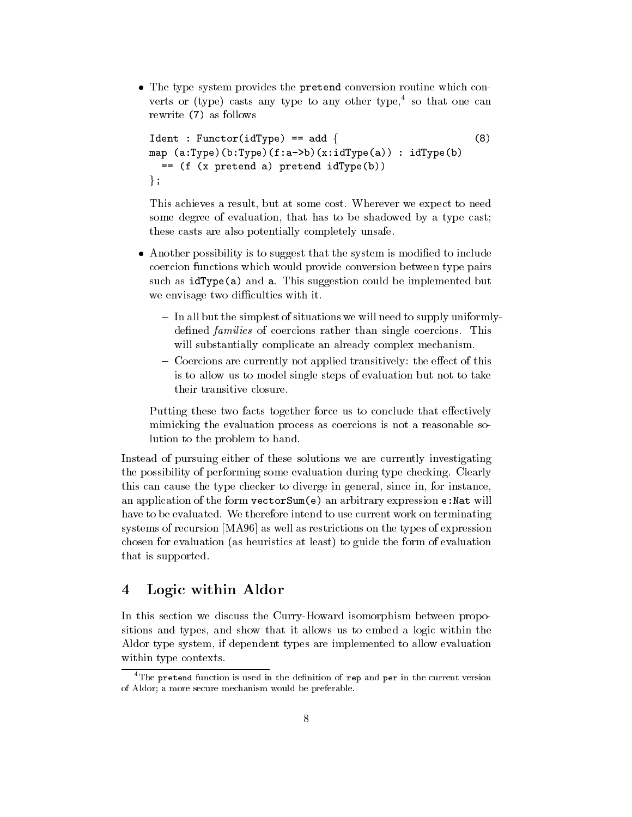$\bullet$  The type system provides the pretend conversion routine which converts or (type) casts any type to any other type.<sup>4</sup> so that one can rewrite (7) as follows rewrite the following and the following as follows and the second contract of the second contract of the second contract of the second contract of the second contract of the second contract of the second contract of the se

```
Ident : Function(idType) == add \{ (8)
map (a:Type)(b:Type)(f:a\rightarrow b)(x:idType(a)): idType(b)= (f (x pretend a) pretend idType(b))\} ;
```
This achieves a result, but at some cost. Wherever we expect to need some degree of evaluation, that has to be shadowed by a type cast; these casts are also potentially completely unsafe

- $\bullet$  -Another possibility is to suggest that the system is modified to include coercion functions which would provide conversion between type pairs such as  $idType(a)$  and a. This suggestion could be implemented but we envisage two difficulties with it.
	- In all but the simplest of situations we will need to supply uniformlydefined *families* of coercions rather than single coercions. This will substantially complicate an already complex mechanism.
	- Coercions are currently not applied transitively: the effect of this is to allow us to model single steps of evaluation but not to take their transitive closure

Putting these two facts together force us to conclude that effectively mimicking the evaluation process as coercions is not a reasonable so lution to the problem to hand

Instead of pursuing either of these solutions we are currently investigating the possibility of performing some evaluation during type checking Clearly this can cause the type checker to diverge in general, since in, for instance, an application of the form  $\texttt{vectorSum}(e)$  an arbitrary expression e: Nat will have to be evaluated. We therefore intend to use current work on terminating systems of recursion powers  $\mathbf{v}$  and the types of expressions on the two types of expressions of  $\mathbf{v}$ chosen for evaluation (as heuristics at least) to guide the form of evaluation that is supported

#### $\overline{\mathbf{4}}$ Logic within Aldor

In this section we discuss the Curry-Howard isomorphism between propositions and types, and show that it allows us to embed a logic within the Aldor type system if dependent types are implemented to allow evaluation within type contexts

<sup>&</sup>lt;sup>4</sup>The pretend function is used in the definition of rep and per in the current version of Aldor; a more secure mechanism would be preferable.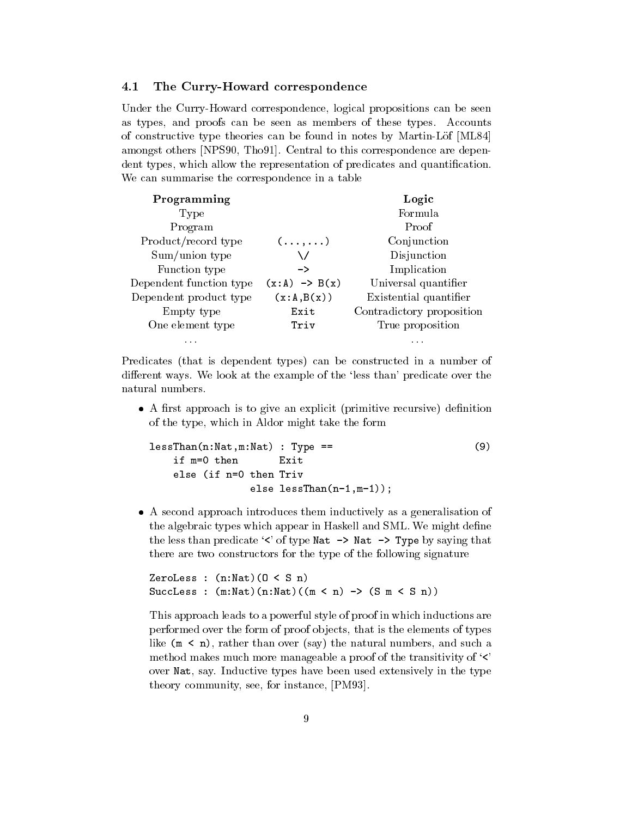#### The Curry-Howard correspondence  $4.1$

Under the Curry-Howard correspondence, logical propositions can be seen as types, and proofs can be seen as members of these types. Accounts of constructive type theories can be found in notes by MartinLof -ML amongst others provided to the Central to the Central to the Central to the Central to the Central to the Cent dent types, which allow the representation of predicates and quantification. We can summarise the correspondence in a table

| Programming             |                          | Logic                     |  |
|-------------------------|--------------------------|---------------------------|--|
| Type                    |                          | Formula                   |  |
| Program                 |                          | Proof                     |  |
| Product/record type     | $( \ldots, \ldots)$      | Conjunction               |  |
| Sum/union type          |                          | Disjunction               |  |
| Function type           | ->                       | Implication               |  |
| Dependent function type | $(x:A) \rightarrow B(x)$ | Universal quantifier      |  |
| Dependent product type  | (x:A,B(x))               | Existential quantifier    |  |
| Empty type              | Exit                     | Contradictory proposition |  |
| One element type        | Triv                     | True proposition          |  |
| .                       |                          | .                         |  |

Predicates (that is dependent types) can be constructed in a number of different ways. We look at the example of the 'less than' predicate over the natural numbers.

 $\bullet$  A first approach is to give an explicit (primitive recursive) definition of the type, which in Aldor might take the form

```
less than \mathcal{N} and \mathcal{N} are the state of \mathcal{N} and \mathcal{N} are the state of \mathcal{N} and \mathcal{N} are the state of \mathcal{N} and \mathcal{N} are the state of \mathcal{N} and \mathcal{N} are the state of \mathcal{N} and \mathcalif m=0 then Exit
          else (if n=0 then Triv
                                                 else lessen van die staan die volken van die volken van die volken van die volken van die volken van die volke
```
 A second approach introduces them inductively as a generalisation of the algebraic types which appear in Haskell and SML. We might define the less than predicate  $\leq$  of type Nat  $\Rightarrow$  Nat  $\Rightarrow$  Type by saying that there are two constructors for the type of the following signature

```
ZeroLess : (n:Nat)(0 < S n)SuccLess : (m:Nat)(n:Nat)((m < n) \rightarrow (S m < S n))
```
This approach leads to a powerful style of proof in which inductions are performed over the form of proof objects, that is the elements of types like  $(m < n)$ , rather than over (say) the natural numbers, and such a method makes much more manageable a proof of the transitivity of  $\langle \cdot \rangle$ over Nat, say. Inductive types have been used extensively in the type theory community, see for instance, processed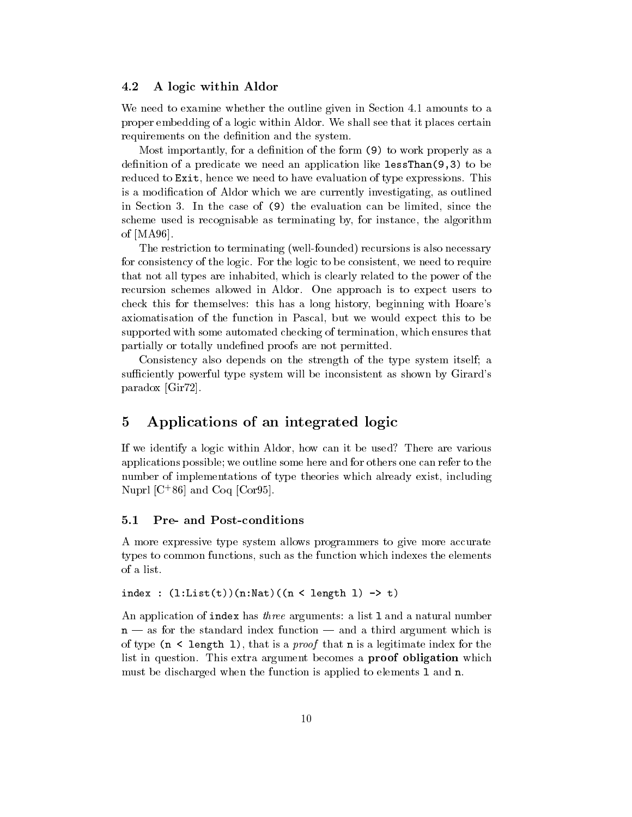#### 4.2 A logic within Aldor

We need to examine whether the outline given in Section 4.1 amounts to a proper embedding of a logic within Aldor We shall see that it places certain requirements on the definition and the system.

Most importantly, for a definition of the form  $(9)$  to work properly as a denities at a predicate we need an application in an application of  $\mathcal{F}$ reduced to Exit, hence we need to have evaluation of type expressions. This is a modification of Aldor which we are currently investigating, as outlined in Section 3. In the case of  $(9)$  the evaluation can be limited, since the scheme used is recognisable as terminating by, for instance, the algorithm of  $\sim$  -  $\sim$  -  $\sim$  -  $\sim$  -  $\sim$  -  $\sim$ 

The restriction to terminating (well-founded) recursions is also necessary for consistency of the logic. For the logic to be consistent, we need to require that not all types are inhabited, which is clearly related to the power of the recursion schemes allowed in Aldor. One approach is to expect users to check this for themselves: this has a long history, beginning with Hoare's axiomatisation of the function in Pascal, but we would expect this to be supported with some automated checking of termination which ensures that partially or totally undefined proofs are not permitted.

Consistency also depends on the strength of the type system itself; a sufficiently powerful type system will be inconsistent as shown by Girard's paradox - Carlos - Carlos - Carlos - Carlos - Carlos - Carlos - Carlos - Carlos - Carlos - Carlos - Carlos - C

## Applications of an integrated logic

If we identify a logic within Aldor, how can it be used? There are various applications possible; we outline some here and for others one can refer to the number of implementations of type theories which already exist, including  $\alpha$  and  $\alpha$  and  $\alpha$  to  $\alpha$  .

#### Pre- and Post-conditions  $5.1$

A more expressive type system allows programmers to give more accurate types to common functions, such as the function which indexes the elements of a list.

index :  $(l:List(t))(n:Nat)((n < length 1) \rightarrow t)$ 

An application of index has *three* arguments: a list 1 and a natural number  $n - as$  for the standard index function  $-$  and a third argument which is of type  $(n \leq \text{length } 1)$ , that is a *proof* that **n** is a legitimate index for the list in question. This extra argument becomes a **proof obligation** which must be discharged when the function is applied to elements l and n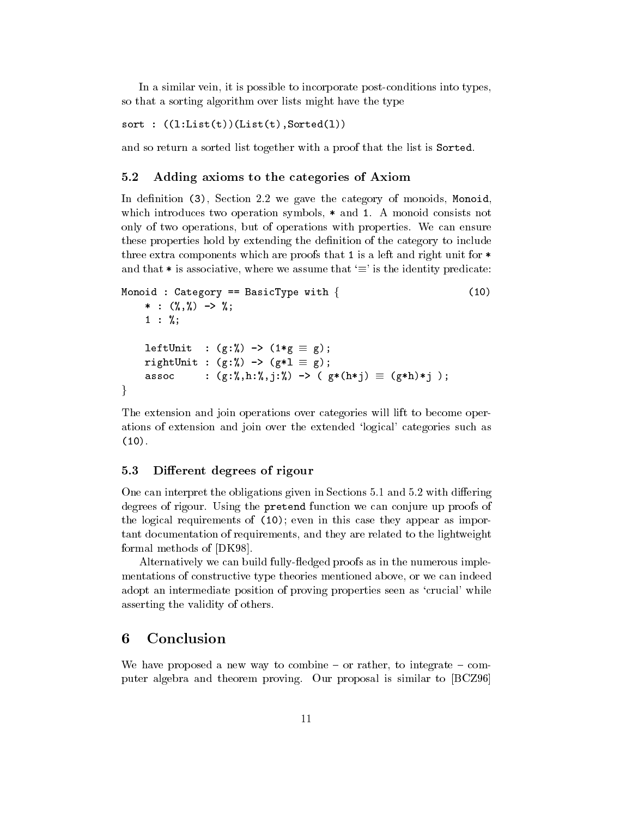In a similar vein, it is possible to incorporate post-conditions into types, so that a sorting algorithm over lists might have the type

sort in the sort of the sort of the sort of the sort of the sort of the sort of the sort of the sort of the so

and so return a sorted list together with a proof that the list is Sorted

#### $5.2$ Adding axioms to the categories of Axiom

In definition  $(3)$ , Section 2.2 we gave the category of monoids, Monoid, which introduces two operation symbols,  $*$  and 1. A monoid consists not only of two operations, but of operations with properties. We can ensure these properties hold by extending the denition of the category to include three extra components which are proofs that 1 is a left and right unit for  $*$ and that  $*$  is associative, where we assume that ' $\equiv$  ' is the identity predicate:

```
Monoid : Category == BasicType with \{ (10)
      

    1 : \%;\texttt{lettUnit} : (g \colon \mathtt{Z}) -> (1 * g \, \equiv \, g);
    rightUnit : (g: \lambda) -> (g * \bot \equiv g);
    assoc : (g:7,,h:7,,1:7,) -> ( g*(h*1) \equiv (g*h)*1 );
\}
```
The extension and join operations over categories will lift to become oper ations of extension and join over the extended 'logical' categories such as  $(10)$ .

### 5.3 Different degrees of rigour

One can interpret the obligations given in Sections  $5.1$  and  $5.2$  with differing degrees of rigour. Using the pretend function we can conjure up proofs of the logical requirements of  $(10)$ ; even in this case they appear as important documentation of requirements and they are related to the lightweight formal methods of -DK

Alternatively we can build fully-fledged proofs as in the numerous implementations of constructive type theories mentioned above, or we can indeed adopt an intermediate position of proving properties seen as 'crucial' while asserting the validity of others

#### 6 Conclusion

We have proposed a new way to combine  $-$  or rather, to integrate  $-$  computer algebra and theorem proving Our proposal is similar to -BCZ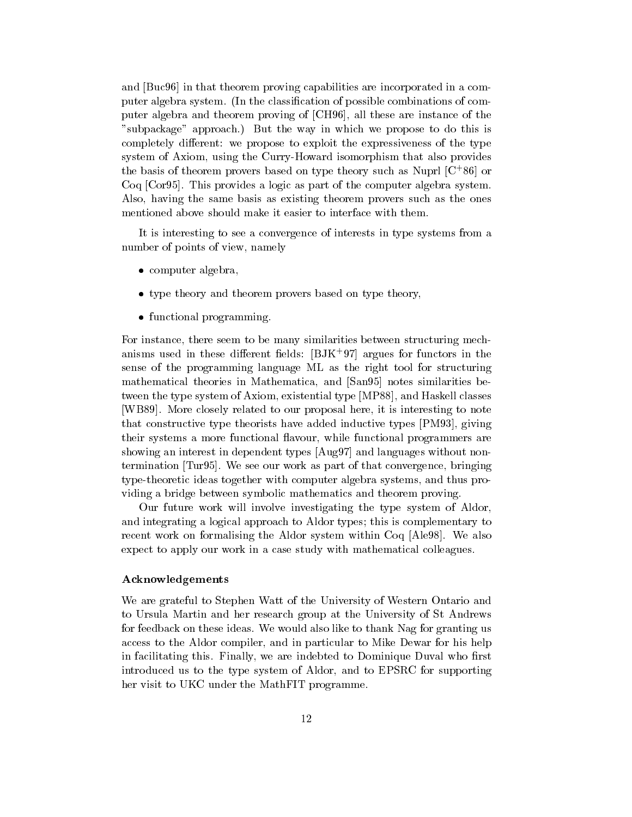and -Buc in that theorem proving capabilities are incorporated in a com puter algebra system. (In the classification of possible combinations of computer algebra and theorem proving of - changeral theorem and the second of the  $\sim$ "subpackage" approach.) But the way in which we propose to do this is completely different: we propose to exploit the expressiveness of the type system of Axiom, using the Curry-Howard isomorphism that also provides the basis of theorem provers based on type theory such as Nupri  $\vert \cup \vert$  of  $\vert$ Coq -Cor This provides a logic as part of the computer algebra system Also, having the same basis as existing theorem provers such as the ones mentioned above should make it easier to interface with them

It is interesting to see a convergence of interests in type systems from a number of points of view, namely

- $\bullet$  computer algebra,
- $\bullet$  type theory and theorem provers based on type theory,  $\hspace{0.1mm}$
- $\bullet$  functional programming.

For instance, there seem to be many similarities between structuring mechanisms used in these different fields:  $|{\rm DJK}||$  argues for functors in the sense of the programming language ML as the right tool for structuring mathematical theories in Mathematica and -San notes similarities be tween the type system of Axiom existential type -MP

 and Haskell classes -WB More closely related to our proposal here it is interesting to note that constructive type theorists have added inductive types -PM giving their systems a more functional flavour, while functional programmers are showing an interest in dependent types -Aug and languages without non  $\mathcal{T}_\text{max}$  . The set our work as  $\mathcal{T}_\text{max}$  as  $\mathcal{T}_\text{max}$  as  $\mathcal{T}_\text{max}$  as  $\mathcal{T}_\text{max}$  as  $\mathcal{T}_\text{max}$ type-theoretic ideas together with computer algebra systems, and thus providing a bridge between symbolic mathematics and theorem proving

Our future work will involve investigating the type system of Aldor and integrating a logical approach to Aldor types; this is complementary to recent work on formalising the Aldor system within Coq - also the most expect to apply our work in a case study with mathematical colleagues

## Acknowledgements

We are grateful to Stephen Watt of the University of Western Ontario and to Ursula Martin and her research group atthe University of St Andrews for feedback on these ideas. We would also like to thank Nag for granting us access to the Aldor compiler, and in particular to Mike Dewar for his help in facilitating this. Finally, we are indebted to Dominique Duval who first introduced us to the type system of Aldor, and to EPSRC for supporting her visit to UKC under the MathFIT programme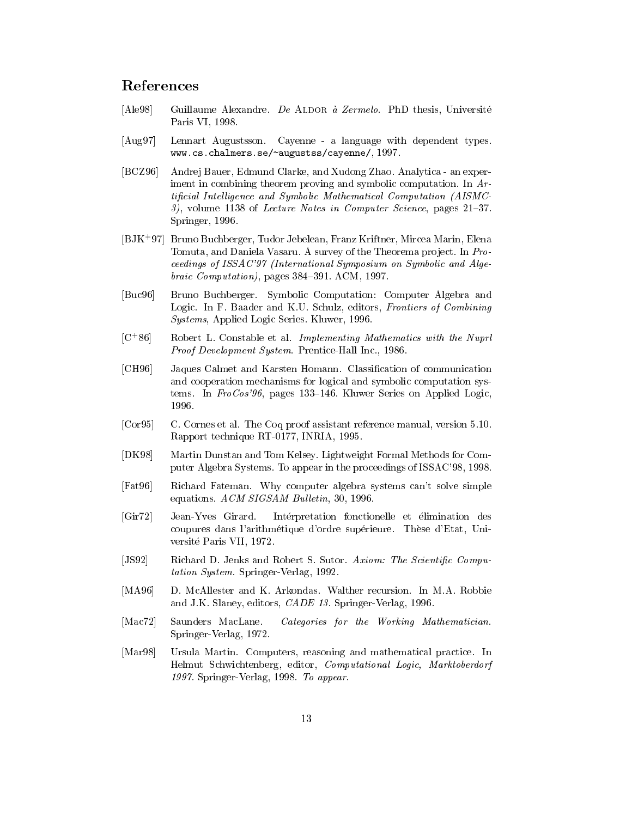## References

- $[A]$ <sub>e</sub>98] Guillaume Alexandre. De ALDOR à Zermelo. PhD thesis, Université Ale Paris VI, 1998.
- $[Aug97]$ Lennart Augustsson. Cayenne - a language with dependent types. www.seaunomensum.com/negaution/negaution/negation/negation/negation/negation/neg
- [BCZ96] Andrej Bauer, Edmund Clarke, and Xudong Zhao. Analytica an experiment in combining theorem proving and symbolic computation. In Arti-cial Intel ligence and Symbolic Mathematical Computation AISMC vil communication in computer in Computer Science pages of the second Springer, 1996.
- BJK - Bruno Buchberger Tudor Jebelean Franz Kriftner Mircea Marin Elena Tomuta, and Daniela Vasaru. A survey of the Theorema project. In Proceedings of ISSAC'97 (International Symposium on Symbolic and Algeof the computation pages of the computation pages of the computation pages of the computation pages of the computation of the computation of the computation of the computation of the computation of the computation of the c
- [Buc96] Bruno Buchberger. Symbolic Computation: Computer Algebra and Logic. In F. Baader and K.U. Schulz, editors, Frontiers of Combining Systems, Applied Logic Series. Kluwer, 1996.
- $|U \circ 0|$   $|U \circ 0|$ Robert L. Constable et al. Implementing Mathematics with the Nuprl Proof Development System PrenticeHall Inc
- [CH96] Jaques Calmet and Karsten Homann. Classification of communication and cooperation mechanisms for logical and symbolic computation sys tems. In  $FroCos'96$ , pages 133–146. Kluwer Series on Applied Logic,
- $[Cor95]$  C. Cornes et al. The Coq proof assistant reference manual, version 5.10. Rapport technique RT
-- INRIA
- $[DK98]$  Martin Dunstan and Tom Kelsey Lightweight Formal Methods for Com puter Algebra Systems To appear in the proceedings of ISSAC
- [Fat96] Richard Fateman. Why computer algebra systems can't solve simple equations.  $ACM$  SIGSAM Bulletin, 30, 1996.
- $[Gir72]$ Jean-Yves Girard. Intérpretation fonctionelle et élimination des coupures dans l'arithmétique d'ordre supérieure. Thèse d'Etat, Universitet in de versitet in de versitet in de versitet in de versitet in de versitet in de versitet in de versi
- JS Richard D Jenks and Robert S Sutor Axiom The Scienti-c Compu  $tation System. Springer-Verlag, 1992.$
- [MA96] D. McAllester and K. Arkondas. Walther recursion. In M.A. Robbie and J.K. Slaney, editors,  $CADE$  13. Springer-Verlag, 1996.
- $[Mac72]$ Saunders MacLane. Categories for the Working Mathematician. SpringerVerlag 
 -
- [Mar98] Ursula Martin. Computers, reasoning and mathematical practice. In Helmut Schwichtenberg, editor, Computational Logic, Marktoberdorf springer verlag and the springer vertex of the springer vertex of the springer vertex of the springer vertex of